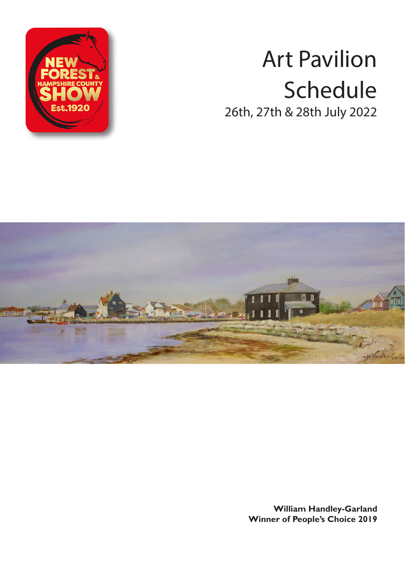

# Art Pavilion Schedule 26th, 27th & 28th July 2022



**William Handley-Garland Winner of People's Choice 2019**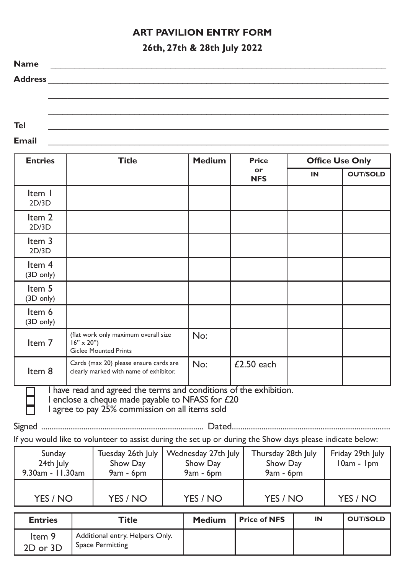## **ART PAVILION ENTRY FORM**

## **26th, 27th & 28th July 2022**

| <b>Name</b>    |  |
|----------------|--|
| <b>Address</b> |  |
|                |  |
|                |  |
|                |  |
| Tel            |  |

**Email** \_\_\_\_\_\_\_\_\_\_\_\_\_\_\_\_\_\_\_\_\_\_\_\_\_\_\_\_\_\_\_\_\_\_\_\_\_\_\_\_\_\_\_\_\_\_\_\_\_\_\_\_\_\_\_\_\_\_\_\_\_\_\_\_\_\_\_\_\_\_\_

| <b>Entries</b>                | <b>Title</b>                                                                                                                                                            | <b>Medium</b> | Price<br>or<br><b>NFS</b> | <b>Office Use Only</b> |                 |
|-------------------------------|-------------------------------------------------------------------------------------------------------------------------------------------------------------------------|---------------|---------------------------|------------------------|-----------------|
|                               |                                                                                                                                                                         |               |                           | IN                     | <b>OUT/SOLD</b> |
| Item I<br>2D/3D               |                                                                                                                                                                         |               |                           |                        |                 |
| Item 2<br>2D/3D               |                                                                                                                                                                         |               |                           |                        |                 |
| Item 3<br>2D/3D               |                                                                                                                                                                         |               |                           |                        |                 |
| Item 4<br>$(3D \text{ only})$ |                                                                                                                                                                         |               |                           |                        |                 |
| Item 5<br>$(3D \text{ only})$ |                                                                                                                                                                         |               |                           |                        |                 |
| Item 6<br>$(3D \text{ only})$ |                                                                                                                                                                         |               |                           |                        |                 |
| Item 7                        | (flat work only maximum overall size<br>$16'' \times 20''$<br><b>Giclee Mounted Prints</b>                                                                              | No:           |                           |                        |                 |
| Item 8                        | Cards (max 20) please ensure cards are<br>clearly marked with name of exhibitor.                                                                                        | No:           | £2.50 each                |                        |                 |
|                               | I have read and agreed the terms and conditions of the exhibition.<br>I enclose a cheque made payable to NFASS for £20<br>agree to pay 25% commission on all items sold |               |                           |                        |                 |

I agree to pay 25% commission on all items sold

Signed ............................................................................. Dated...........................................................................

If you would like to volunteer to assist during the set up or during the Show days please indicate below:

| Sunday<br>24th July<br>$9.30$ am - 11.30am | Tuesday 26th July<br>Show Day<br>$9am - 6pm$ | Wednesday 27th July<br>Show Day<br>$9am - 6pm$ | Thursday 28th July<br>Show Day<br>$9am - 6pm$ | Friday 29th July<br>$10am - 1pm$ |
|--------------------------------------------|----------------------------------------------|------------------------------------------------|-----------------------------------------------|----------------------------------|
| YES / NO                                   | YES / NO                                     | YES / NO                                       | YES / NO                                      | YES / NO                         |

| <b>Entries</b>     | Title                                                      | <b>Medium</b> | <b>Price of NFS</b> | IN | OUT/SOLD |
|--------------------|------------------------------------------------------------|---------------|---------------------|----|----------|
| Item 9<br>2D or 3D | Additional entry. Helpers Only.<br><b>Space Permitting</b> |               |                     |    |          |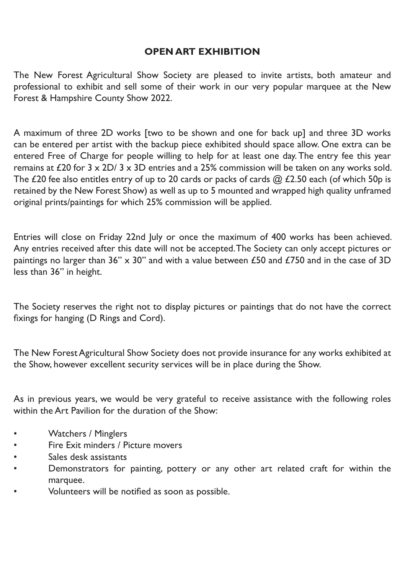# **OPEN ART EXHIBITION**

The New Forest Agricultural Show Society are pleased to invite artists, both amateur and professional to exhibit and sell some of their work in our very popular marquee at the New Forest & Hampshire County Show 2022.

A maximum of three 2D works [two to be shown and one for back up] and three 3D works can be entered per artist with the backup piece exhibited should space allow. One extra can be entered Free of Charge for people willing to help for at least one day. The entry fee this year remains at £20 for  $3 \times 2D/3 \times 3D$  entries and a 25% commission will be taken on any works sold. The £20 fee also entitles entry of up to 20 cards or packs of cards @ £2.50 each (of which 50p is retained by the New Forest Show) as well as up to 5 mounted and wrapped high quality unframed original prints/paintings for which 25% commission will be applied.

Entries will close on Friday 22nd July or once the maximum of 400 works has been achieved. Any entries received after this date will not be accepted. The Society can only accept pictures or paintings no larger than 36" x 30" and with a value between £50 and £750 and in the case of 3D less than 36" in height.

The Society reserves the right not to display pictures or paintings that do not have the correct fixings for hanging (D Rings and Cord).

The New Forest Agricultural Show Society does not provide insurance for any works exhibited at the Show, however excellent security services will be in place during the Show.

As in previous years, we would be very grateful to receive assistance with the following roles within the Art Pavilion for the duration of the Show:

- Watchers / Minglers
- Fire Exit minders / Picture movers
- Sales desk assistants
- Demonstrators for painting, pottery or any other art related craft for within the marquee.
- Volunteers will be notified as soon as possible.